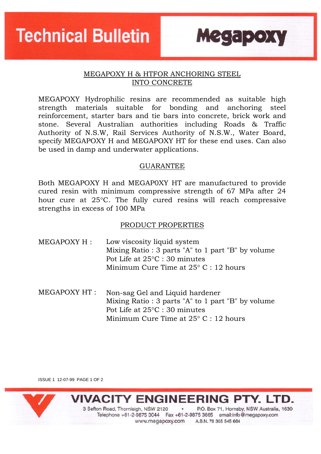**Technical Bulletin** 

### MEGAPOXY H & HTFOR ANCHORING STEEL INTO CONCRETE

**Megapoxy** 

MEGAPOXY Hydrophilic resins are recommended as suitable high strength materials suitable for bonding and anchoring steel reinforcement, starter bars and tie bars into concrete, brick work and stone. Several Australian authorities including Roads & Traffic Authority of N.S.W, Rail Services Authority of N.S.W., Water Board, specify MEGAPOXY H and MEGAPOXY HT for these end uses. Can also be used in damp and underwater applications.

#### **GUARANTEE**

Both MEGAPOXY H and MEGAP0XY HT are manufactured to provide cured resin with minimum compressive strength of 67 MPa after 24 hour cure at 25°C. The fully cured resins will reach compressive strengths in excess of 100 MPa

#### PRODUCT PROPERTIES

- MEGAPOXY H : Low viscosity liquid system Mixing Ratio : 3 parts "A" to 1 part "B" by volume Pot Life at 25°C : 30 minutes Minimum Cure Time at 25° C : 12 hours
- MEGAPOXY HT : Non-sag Gel and Liquid hardener Mixing Ratio : 3 parts "A" to 1 part "B" by volume Pot Life at 25°C : 30 minutes Minimum Cure Time at 25° C : 12 hours

ISSUE 1 12-07-99 PAGE 1 OF 2



**IIVACITY ENGINEERING PTY. LTD.** 

3 Sefton Road, Thornleigh, NSW 2120 . P.O. Box 71, Hornsby, NSW Australia, 1630 Telephone +61-2-9875 3044 Fax +61-2-9875 3665 email:info@megapoxy.com www.megapoxy.com A.B.N. 78 305 545 664